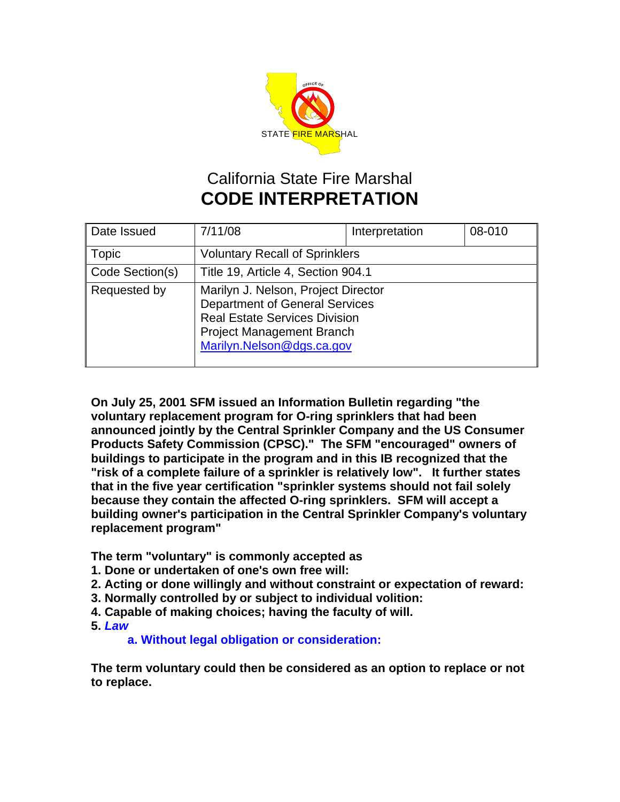

## California State Fire Marshal **CODE INTERPRETATION**

| Date Issued     | 7/11/08                                                                                                                                                                               | Interpretation | 08-010 |
|-----------------|---------------------------------------------------------------------------------------------------------------------------------------------------------------------------------------|----------------|--------|
| <b>Topic</b>    | <b>Voluntary Recall of Sprinklers</b>                                                                                                                                                 |                |        |
| Code Section(s) | Title 19, Article 4, Section 904.1                                                                                                                                                    |                |        |
| Requested by    | Marilyn J. Nelson, Project Director<br><b>Department of General Services</b><br><b>Real Estate Services Division</b><br><b>Project Management Branch</b><br>Marilyn.Nelson@dgs.ca.gov |                |        |

**On July 25, 2001 SFM issued an Information Bulletin regarding "the voluntary replacement program for O-ring sprinklers that had been announced jointly by the Central Sprinkler Company and the US Consumer Products Safety Commission (CPSC)." The SFM "encouraged" owners of buildings to participate in the program and in this IB recognized that the "risk of a complete failure of a sprinkler is relatively low". It further states that in the five year certification "sprinkler systems should not fail solely because they contain the affected O-ring sprinklers. SFM will accept a building owner's participation in the Central Sprinkler Company's voluntary replacement program"** 

**The term "voluntary" is commonly accepted as** 

- **1. Done or undertaken of one's own free will:**
- **2. Acting or done willingly and without constraint or expectation of reward:**
- **3. Normally controlled by or subject to individual volition:**
- **4. Capable of making choices; having the faculty of will.**
- **5.** *Law*

**a. Without legal obligation or consideration:**

**The term voluntary could then be considered as an option to replace or not to replace.**